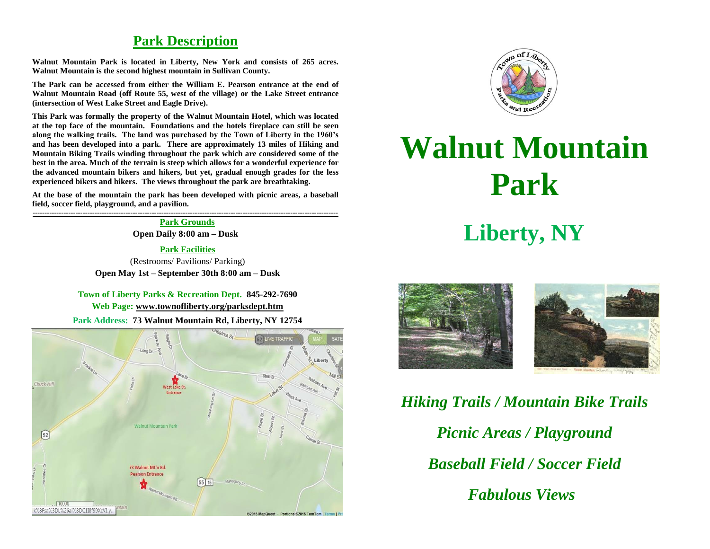## **Park Description**

**Walnut Mountain Park is located in Liberty, New York and consists of 265 acres. Walnut Mountain is the second highest mountain in Sullivan County.** 

**The Park can be accessed from either the William E. Pearson entrance at the end of Walnut Mountain Road (off Route 55, west of the village) or the Lake Street entrance (intersection of West Lake Street and Eagle Drive).**

**This Park was formally the property of the Walnut Mountain Hotel, which was located at the top face of the mountain. Foundations and the hotels fireplace can still be seen along the walking trails. The land was purchased by the Town of Liberty in the 1960's and has been developed into a park. There are approximately 13 miles of Hiking and Mountain Biking Trails winding throughout the park which are considered some of the best in the area. Much of the terrain is steep which allows for a wonderful experience for the advanced mountain bikers and hikers, but yet, gradual enough grades for the less experienced bikers and hikers. The views throughout the park are breathtaking.**

**At the base of the mountain the park has been developed with picnic areas, a baseball field, soccer field, playground, and a pavilion.**

**-------------------------------------------------------------------------------------------------------------------------------- Park Grounds**

**Open Daily 8:00 am – Dusk**

**Park Facilities** (Restrooms/ Pavilions/ Parking)

**Open May 1st – September 30th 8:00 am – Dusk**

## **Town of Liberty Parks & Recreation Dept. 845-292-7690**

**Web Page: [www.townofliberty.org/parksdept.htm](http://www.townofliberty.org/parksdept.htm)**

**Park Address: 73 Walnut Mountain Rd, Liberty, NY 12754**





## **Walnut Mountain Park**

## **Liberty, NY**



*Hiking Trails / Mountain Bike Trails Picnic Areas / Playground Baseball Field / Soccer Field Fabulous Views*